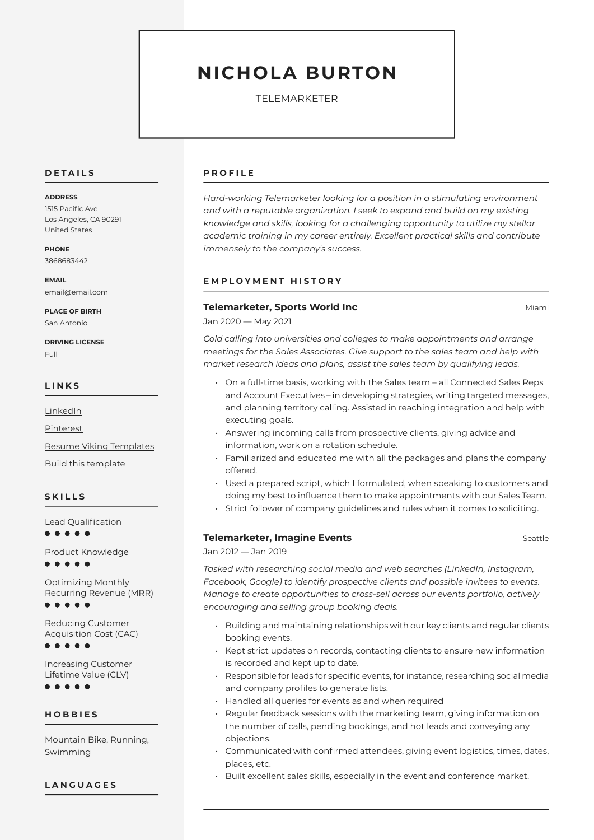# **NICHOLA BURTON**

TELEMARKETER

#### **D E T A I L S**

#### **ADDRESS**

1515 Pacific Ave Los Angeles, CA 90291 United States

**PHONE** 3868683442

**EMAIL** email@email.com

**PLACE OF BIRTH** San Antonio

**DRIVING LICENSE** Full

#### **L I N K S**

**[LinkedIn](https://www.linkedin.com/)** 

[Pinterest](https://www.pinterest.es/resumeviking/)

[Resume Viking Templates](https://www.resumeviking.com/templates/word/)

[Build this template](https://resume.io/?id=cpdokyF1)

## **S K I L L S**

Lead Qualification . . . . .

Product Knowledge

. . . . .

Optimizing Monthly Recurring Revenue (MRR)  $\bullet\bullet\bullet\bullet$ 

Reducing Customer Acquisition Cost (CAC)

 $\bullet\hspace{0.1cm} \bullet\hspace{0.1cm} \bullet\hspace{0.1cm} \bullet\hspace{0.1cm} \bullet\hspace{0.1cm} \bullet$ 

Increasing Customer Lifetime Value (CLV)

 $• • •$ 

**H O B B I E S**

Mountain Bike, Running, Swimming

#### **L A N G U A G E S**

#### **P R O F I L E**

*Hard-working Telemarketer looking for a position in a stimulating environment and with a reputable organization. I seek to expand and build on my existing knowledge and skills, looking for a challenging opportunity to utilize my stellar academic training in my career entirely. Excellent practical skills and contribute immensely to the company's success.*

## **E M P L O Y M E N T H I S T O R Y**

### **Telemarketer, Sports World Inc Miami and Allen Miami Miami And Miami Allen Miami**

Jan 2020 — May 2021

*Cold calling into universities and colleges to make appointments and arrange meetings for the Sales Associates. Give support to the sales team and help with market research ideas and plans, assist the sales team by qualifying leads.*

- On a full-time basis, working with the Sales team all Connected Sales Reps and Account Executives – in developing strategies, writing targeted messages, and planning territory calling. Assisted in reaching integration and help with executing goals.
- Answering incoming calls from prospective clients, giving advice and information, work on a rotation schedule.
- Familiarized and educated me with all the packages and plans the company offered.
- Used a prepared script, which I formulated, when speaking to customers and doing my best to influence them to make appointments with our Sales Team.
- Strict follower of company guidelines and rules when it comes to soliciting.

### **Telemarketer. Imagine Events** Seattle

Jan 2012 — Jan 2019

*Tasked with researching social media and web searches (LinkedIn, Instagram, Facebook, Google) to identify prospective clients and possible invitees to events. Manage to create opportunities to cross-sell across our events portfolio, actively encouraging and selling group booking deals.*

- Building and maintaining relationships with our key clients and regular clients booking events.
- Kept strict updates on records, contacting clients to ensure new information is recorded and kept up to date.
- Responsible for leads for specific events, for instance, researching social media and company profiles to generate lists.
- Handled all queries for events as and when required
- Regular feedback sessions with the marketing team, giving information on the number of calls, pending bookings, and hot leads and conveying any objections.
- Communicated with confirmed attendees, giving event logistics, times, dates, places, etc.
- Built excellent sales skills, especially in the event and conference market.